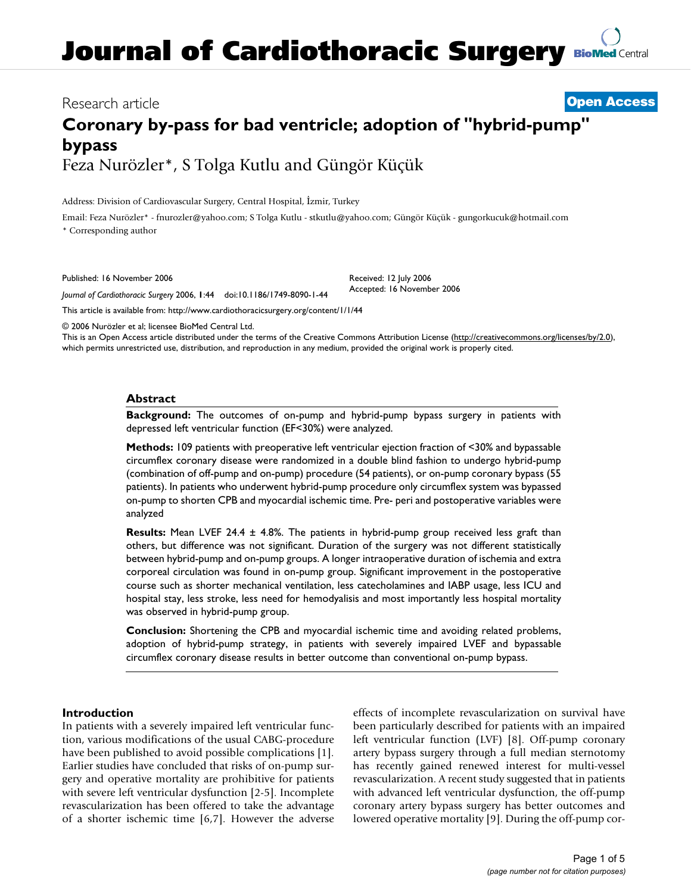# Research article **[Open Access](http://www.biomedcentral.com/info/about/charter/)**

# **Coronary by-pass for bad ventricle; adoption of "hybrid-pump" bypass** Feza Nurözler\*, S Tolga Kutlu and Güngör Küçük

Address: Division of Cardiovascular Surgery, Central Hospital, İzmir, Turkey

Email: Feza Nurözler\* - fnurozler@yahoo.com; S Tolga Kutlu - stkutlu@yahoo.com; Güngör Küçük - gungorkucuk@hotmail.com \* Corresponding author

Published: 16 November 2006

Received: 12 July 2006 Accepted: 16 November 2006

[This article is available from: http://www.cardiothoracicsurgery.org/content/1/1/44](http://www.cardiothoracicsurgery.org/content/1/1/44)

*Journal of Cardiothoracic Surgery* 2006, **1**:44 doi:10.1186/1749-8090-1-44

© 2006 Nurözler et al; licensee BioMed Central Ltd.

This is an Open Access article distributed under the terms of the Creative Commons Attribution License [\(http://creativecommons.org/licenses/by/2.0\)](http://creativecommons.org/licenses/by/2.0), which permits unrestricted use, distribution, and reproduction in any medium, provided the original work is properly cited.

#### **Abstract**

**Background:** The outcomes of on-pump and hybrid-pump bypass surgery in patients with depressed left ventricular function (EF<30%) were analyzed.

**Methods:** 109 patients with preoperative left ventricular ejection fraction of <30% and bypassable circumflex coronary disease were randomized in a double blind fashion to undergo hybrid-pump (combination of off-pump and on-pump) procedure (54 patients), or on-pump coronary bypass (55 patients). In patients who underwent hybrid-pump procedure only circumflex system was bypassed on-pump to shorten CPB and myocardial ischemic time. Pre- peri and postoperative variables were analyzed

**Results:** Mean LVEF 24.4 ± 4.8%. The patients in hybrid-pump group received less graft than others, but difference was not significant. Duration of the surgery was not different statistically between hybrid-pump and on-pump groups. A longer intraoperative duration of ischemia and extra corporeal circulation was found in on-pump group. Significant improvement in the postoperative course such as shorter mechanical ventilation, less catecholamines and IABP usage, less ICU and hospital stay, less stroke, less need for hemodyalisis and most importantly less hospital mortality was observed in hybrid-pump group.

**Conclusion:** Shortening the CPB and myocardial ischemic time and avoiding related problems, adoption of hybrid-pump strategy, in patients with severely impaired LVEF and bypassable circumflex coronary disease results in better outcome than conventional on-pump bypass.

#### **Introduction**

In patients with a severely impaired left ventricular function, various modifications of the usual CABG-procedure have been published to avoid possible complications [1]. Earlier studies have concluded that risks of on-pump surgery and operative mortality are prohibitive for patients with severe left ventricular dysfunction [2-5]. Incomplete revascularization has been offered to take the advantage of a shorter ischemic time [6,7]. However the adverse effects of incomplete revascularization on survival have been particularly described for patients with an impaired left ventricular function (LVF) [8]. Off-pump coronary artery bypass surgery through a full median sternotomy has recently gained renewed interest for multi-vessel revascularization. A recent study suggested that in patients with advanced left ventricular dysfunction, the off-pump coronary artery bypass surgery has better outcomes and lowered operative mortality [9]. During the off-pump cor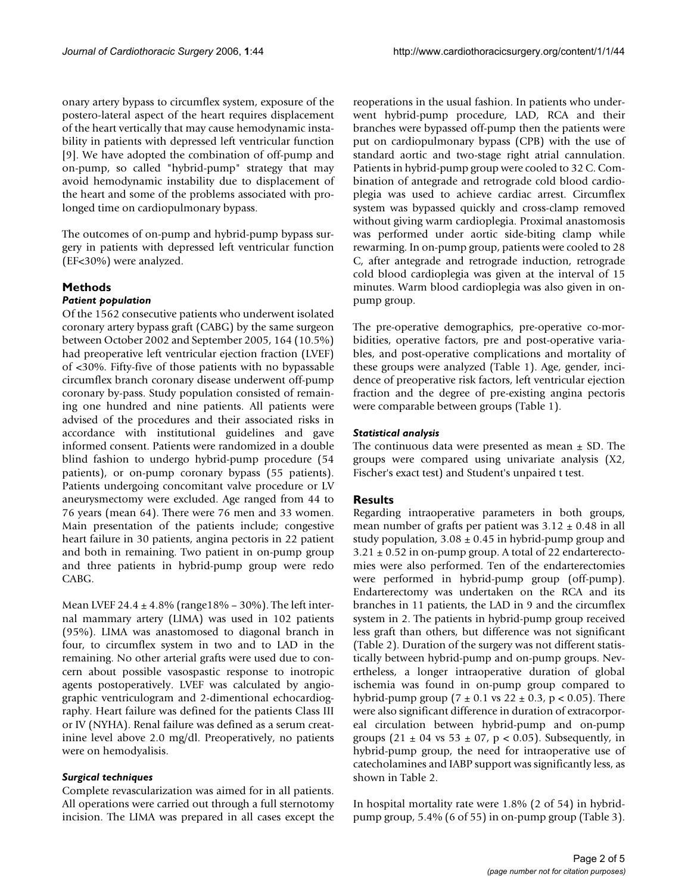onary artery bypass to circumflex system, exposure of the postero-lateral aspect of the heart requires displacement of the heart vertically that may cause hemodynamic instability in patients with depressed left ventricular function [9]. We have adopted the combination of off-pump and on-pump, so called "hybrid-pump" strategy that may avoid hemodynamic instability due to displacement of the heart and some of the problems associated with prolonged time on cardiopulmonary bypass.

The outcomes of on-pump and hybrid-pump bypass surgery in patients with depressed left ventricular function (EF<30%) were analyzed.

# **Methods**

# *Patient population*

Of the 1562 consecutive patients who underwent isolated coronary artery bypass graft (CABG) by the same surgeon between October 2002 and September 2005, 164 (10.5%) had preoperative left ventricular ejection fraction (LVEF) of <30%. Fifty-five of those patients with no bypassable circumflex branch coronary disease underwent off-pump coronary by-pass. Study population consisted of remaining one hundred and nine patients. All patients were advised of the procedures and their associated risks in accordance with institutional guidelines and gave informed consent. Patients were randomized in a double blind fashion to undergo hybrid-pump procedure (54 patients), or on-pump coronary bypass (55 patients). Patients undergoing concomitant valve procedure or LV aneurysmectomy were excluded. Age ranged from 44 to 76 years (mean 64). There were 76 men and 33 women. Main presentation of the patients include; congestive heart failure in 30 patients, angina pectoris in 22 patient and both in remaining. Two patient in on-pump group and three patients in hybrid-pump group were redo CABG.

Mean LVEF 24.4  $\pm$  4.8% (range18% – 30%). The left internal mammary artery (LIMA) was used in 102 patients (95%). LIMA was anastomosed to diagonal branch in four, to circumflex system in two and to LAD in the remaining. No other arterial grafts were used due to concern about possible vasospastic response to inotropic agents postoperatively. LVEF was calculated by angiographic ventriculogram and 2-dimentional echocardiography. Heart failure was defined for the patients Class III or IV (NYHA). Renal failure was defined as a serum creatinine level above 2.0 mg/dl. Preoperatively, no patients were on hemodyalisis.

# *Surgical techniques*

Complete revascularization was aimed for in all patients. All operations were carried out through a full sternotomy incision. The LIMA was prepared in all cases except the reoperations in the usual fashion. In patients who underwent hybrid-pump procedure, LAD, RCA and their branches were bypassed off-pump then the patients were put on cardiopulmonary bypass (CPB) with the use of standard aortic and two-stage right atrial cannulation. Patients in hybrid-pump group were cooled to 32 C. Combination of antegrade and retrograde cold blood cardioplegia was used to achieve cardiac arrest. Circumflex system was bypassed quickly and cross-clamp removed without giving warm cardioplegia. Proximal anastomosis was performed under aortic side-biting clamp while rewarming. In on-pump group, patients were cooled to 28 C, after antegrade and retrograde induction, retrograde cold blood cardioplegia was given at the interval of 15 minutes. Warm blood cardioplegia was also given in onpump group.

The pre-operative demographics, pre-operative co-morbidities, operative factors, pre and post-operative variables, and post-operative complications and mortality of these groups were analyzed (Table 1). Age, gender, incidence of preoperative risk factors, left ventricular ejection fraction and the degree of pre-existing angina pectoris were comparable between groups (Table 1).

#### *Statistical analysis*

The continuous data were presented as mean  $\pm$  SD. The groups were compared using univariate analysis (X2, Fischer's exact test) and Student's unpaired t test.

# **Results**

Regarding intraoperative parameters in both groups, mean number of grafts per patient was  $3.12 \pm 0.48$  in all study population,  $3.08 \pm 0.45$  in hybrid-pump group and  $3.21 \pm 0.52$  in on-pump group. A total of 22 endarterectomies were also performed. Ten of the endarterectomies were performed in hybrid-pump group (off-pump). Endarterectomy was undertaken on the RCA and its branches in 11 patients, the LAD in 9 and the circumflex system in 2. The patients in hybrid-pump group received less graft than others, but difference was not significant (Table 2). Duration of the surgery was not different statistically between hybrid-pump and on-pump groups. Nevertheless, a longer intraoperative duration of global ischemia was found in on-pump group compared to hybrid-pump group  $(7 \pm 0.1 \text{ vs } 22 \pm 0.3, \text{ p} < 0.05)$ . There were also significant difference in duration of extracorporeal circulation between hybrid-pump and on-pump groups (21  $\pm$  04 vs 53  $\pm$  07, p < 0.05). Subsequently, in hybrid-pump group, the need for intraoperative use of catecholamines and IABP support was significantly less, as shown in Table 2.

In hospital mortality rate were 1.8% (2 of 54) in hybridpump group, 5.4% (6 of 55) in on-pump group (Table 3).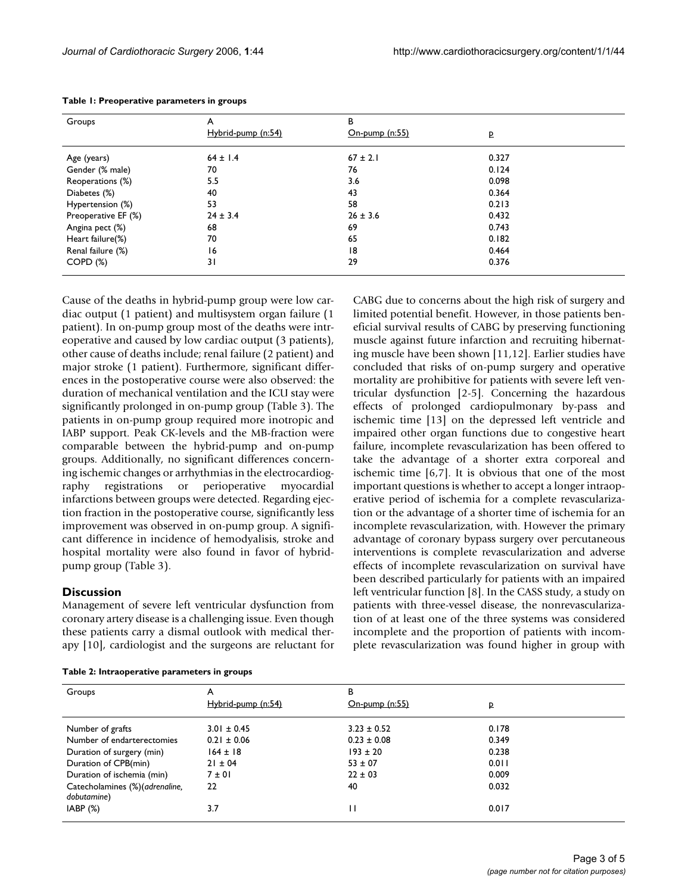| Groups              | A                  | В              |       |  |
|---------------------|--------------------|----------------|-------|--|
|                     | Hybrid-pump (n:54) | On-pump (n:55) | P     |  |
| Age (years)         | $64 \pm 1.4$       | $67 \pm 2.1$   | 0.327 |  |
| Gender (% male)     | 70                 | 76             | 0.124 |  |
| Reoperations (%)    | 5.5                | 3.6            | 0.098 |  |
| Diabetes (%)        | 40                 | 43             | 0.364 |  |
| Hypertension (%)    | 53                 | 58             | 0.213 |  |
| Preoperative EF (%) | $24 \pm 3.4$       | $26 \pm 3.6$   | 0.432 |  |
| Angina pect (%)     | 68                 | 69             | 0.743 |  |
| Heart failure(%)    | 70                 | 65             | 0.182 |  |
| Renal failure (%)   | 16                 | 8              | 0.464 |  |
| $COPD (\%)$         | 31                 | 29             | 0.376 |  |

| Table 1: Preoperative parameters in groups |  |  |  |  |  |  |
|--------------------------------------------|--|--|--|--|--|--|
|--------------------------------------------|--|--|--|--|--|--|

Cause of the deaths in hybrid-pump group were low cardiac output (1 patient) and multisystem organ failure (1 patient). In on-pump group most of the deaths were intreoperative and caused by low cardiac output (3 patients), other cause of deaths include; renal failure (2 patient) and major stroke (1 patient). Furthermore, significant differences in the postoperative course were also observed: the duration of mechanical ventilation and the ICU stay were significantly prolonged in on-pump group (Table 3). The patients in on-pump group required more inotropic and IABP support. Peak CK-levels and the MB-fraction were comparable between the hybrid-pump and on-pump groups. Additionally, no significant differences concerning ischemic changes or arrhythmias in the electrocardiography registrations or perioperative myocardial infarctions between groups were detected. Regarding ejection fraction in the postoperative course, significantly less improvement was observed in on-pump group. A significant difference in incidence of hemodyalisis, stroke and hospital mortality were also found in favor of hybridpump group (Table 3).

#### **Discussion**

Management of severe left ventricular dysfunction from coronary artery disease is a challenging issue. Even though these patients carry a dismal outlook with medical therapy [10], cardiologist and the surgeons are reluctant for

| Table 2: Intraoperative parameters in groups |  |  |  |
|----------------------------------------------|--|--|--|
|----------------------------------------------|--|--|--|

CABG due to concerns about the high risk of surgery and limited potential benefit. However, in those patients beneficial survival results of CABG by preserving functioning muscle against future infarction and recruiting hibernating muscle have been shown [11,12]. Earlier studies have concluded that risks of on-pump surgery and operative mortality are prohibitive for patients with severe left ventricular dysfunction [2-5]. Concerning the hazardous effects of prolonged cardiopulmonary by-pass and ischemic time [13] on the depressed left ventricle and impaired other organ functions due to congestive heart failure, incomplete revascularization has been offered to take the advantage of a shorter extra corporeal and ischemic time [6,7]. It is obvious that one of the most important questions is whether to accept a longer intraoperative period of ischemia for a complete revascularization or the advantage of a shorter time of ischemia for an incomplete revascularization, with. However the primary advantage of coronary bypass surgery over percutaneous interventions is complete revascularization and adverse effects of incomplete revascularization on survival have been described particularly for patients with an impaired left ventricular function [8]. In the CASS study, a study on patients with three-vessel disease, the nonrevascularization of at least one of the three systems was considered incomplete and the proportion of patients with incomplete revascularization was found higher in group with

| Groups                                         | A                  | в               |       |  |
|------------------------------------------------|--------------------|-----------------|-------|--|
|                                                | Hybrid-pump (n:54) | On-pump (n:55)  | ₽     |  |
| Number of grafts                               | $3.01 \pm 0.45$    | $3.23 \pm 0.52$ | 0.178 |  |
| Number of endarterectomies                     | $0.21 \pm 0.06$    | $0.23 \pm 0.08$ | 0.349 |  |
| Duration of surgery (min)                      | $164 \pm 18$       | $193 \pm 20$    | 0.238 |  |
| Duration of CPB(min)                           | $21 \pm 04$        | $53 \pm 07$     | 0.011 |  |
| Duration of ischemia (min)                     | 7±01               | $22 \pm 03$     | 0.009 |  |
| Catecholamines (%) (adrenaline,<br>dobutamine) | 22                 | 40              | 0.032 |  |
| $IABP (\%)$                                    | 3.7                | п               | 0.017 |  |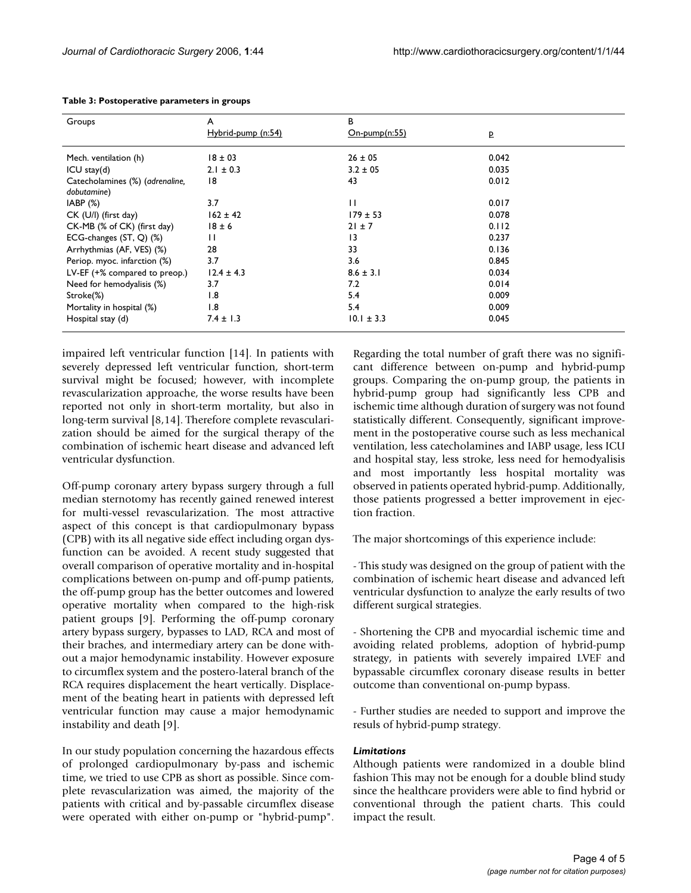| Groups                                         | A                  | В              |       |  |
|------------------------------------------------|--------------------|----------------|-------|--|
|                                                | Hybrid-pump (n:54) | On-pump(n:55)  | p     |  |
|                                                |                    |                |       |  |
| Mech. ventilation (h)                          | $18 \pm 03$        | $26 \pm 05$    | 0.042 |  |
| $ICU$ stay(d)                                  | $2.1 \pm 0.3$      | $3.2 \pm 0.5$  | 0.035 |  |
| Catecholamines (%) (adrenaline,<br>dobutamine) | 18                 | 43             | 0.012 |  |
| IABP (%)                                       | 3.7                | П              | 0.017 |  |
| $CK$ (U/I) (first day)                         | $162 \pm 42$       | $179 \pm 53$   | 0.078 |  |
| CK-MB (% of CK) (first day)                    | $18 \pm 6$         | $21 \pm 7$     | 0.112 |  |
| ECG-changes (ST, Q) (%)                        | $\mathbf{H}$       | 3              | 0.237 |  |
| Arrhythmias (AF, VES) (%)                      | 28                 | 33             | 0.136 |  |
| Periop. myoc. infarction (%)                   | 3.7                | 3.6            | 0.845 |  |
| LV-EF (+% compared to preop.)                  | $12.4 \pm 4.3$     | $8.6 \pm 3.1$  | 0.034 |  |
| Need for hemodyalisis (%)                      | 3.7                | 7.2            | 0.014 |  |
| Stroke(%)                                      | 1.8                | 5.4            | 0.009 |  |
| Mortality in hospital (%)                      | 1.8                | 5.4            | 0.009 |  |
| Hospital stay (d)                              | $7.4 \pm 1.3$      | $10.1 \pm 3.3$ | 0.045 |  |

#### **Table 3: Postoperative parameters in groups**

impaired left ventricular function [14]. In patients with severely depressed left ventricular function, short-term survival might be focused; however, with incomplete revascularization approache, the worse results have been reported not only in short-term mortality, but also in long-term survival [8,14]. Therefore complete revascularization should be aimed for the surgical therapy of the combination of ischemic heart disease and advanced left ventricular dysfunction.

Off-pump coronary artery bypass surgery through a full median sternotomy has recently gained renewed interest for multi-vessel revascularization. The most attractive aspect of this concept is that cardiopulmonary bypass (CPB) with its all negative side effect including organ dysfunction can be avoided. A recent study suggested that overall comparison of operative mortality and in-hospital complications between on-pump and off-pump patients, the off-pump group has the better outcomes and lowered operative mortality when compared to the high-risk patient groups [9]. Performing the off-pump coronary artery bypass surgery, bypasses to LAD, RCA and most of their braches, and intermediary artery can be done without a major hemodynamic instability. However exposure to circumflex system and the postero-lateral branch of the RCA requires displacement the heart vertically. Displacement of the beating heart in patients with depressed left ventricular function may cause a major hemodynamic instability and death [9].

In our study population concerning the hazardous effects of prolonged cardiopulmonary by-pass and ischemic time, we tried to use CPB as short as possible. Since complete revascularization was aimed, the majority of the patients with critical and by-passable circumflex disease were operated with either on-pump or "hybrid-pump". Regarding the total number of graft there was no significant difference between on-pump and hybrid-pump groups. Comparing the on-pump group, the patients in hybrid-pump group had significantly less CPB and ischemic time although duration of surgery was not found statistically different. Consequently, significant improvement in the postoperative course such as less mechanical ventilation, less catecholamines and IABP usage, less ICU and hospital stay, less stroke, less need for hemodyalisis and most importantly less hospital mortality was observed in patients operated hybrid-pump. Additionally, those patients progressed a better improvement in ejection fraction.

The major shortcomings of this experience include:

- This study was designed on the group of patient with the combination of ischemic heart disease and advanced left ventricular dysfunction to analyze the early results of two different surgical strategies.

- Shortening the CPB and myocardial ischemic time and avoiding related problems, adoption of hybrid-pump strategy, in patients with severely impaired LVEF and bypassable circumflex coronary disease results in better outcome than conventional on-pump bypass.

- Further studies are needed to support and improve the resuls of hybrid-pump strategy.

#### *Limitations*

Although patients were randomized in a double blind fashion This may not be enough for a double blind study since the healthcare providers were able to find hybrid or conventional through the patient charts. This could impact the result.